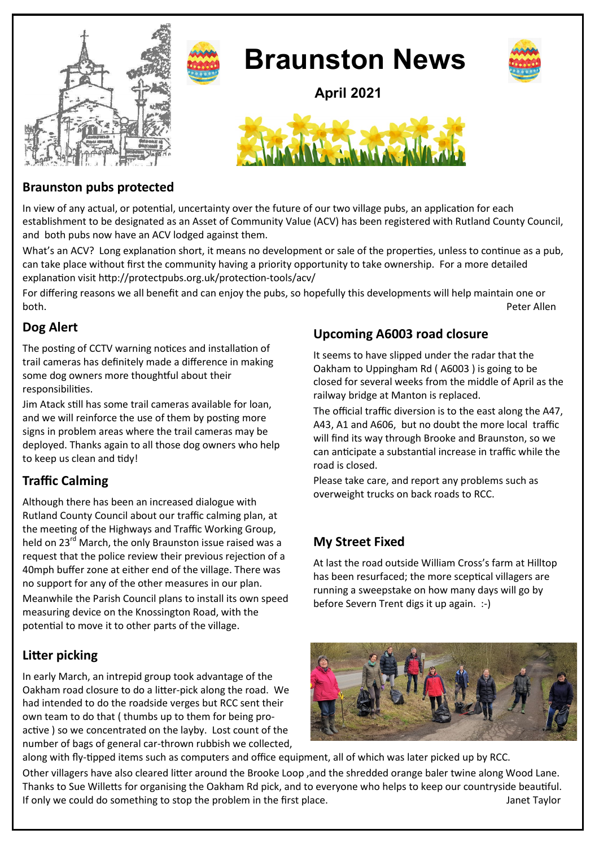

## **Braunston pubs protected**

In view of any actual, or potential, uncertainty over the future of our two village pubs, an application for each establishment to be designated as an Asset of Community Value (ACV) has been registered with Rutland County Council, and both pubs now have an ACV lodged against them.

What's an ACV? Long explanation short, it means no development or sale of the properties, unless to continue as a pub, can take place without first the community having a priority opportunity to take ownership. For a more detailed explanation visit http://protectpubs.org.uk/protection-tools/acv/

For differing reasons we all benefit and can enjoy the pubs, so hopefully this developments will help maintain one or both. Peter Allen

## **Dog Alert**

The posting of CCTV warning notices and installation of trail cameras has definitely made a difference in making some dog owners more thoughtful about their responsibilities.

Jim Atack still has some trail cameras available for loan, and we will reinforce the use of them by posting more signs in problem areas where the trail cameras may be deployed. Thanks again to all those dog owners who help to keep us clean and tidy!

# **Traffic Calming**

Although there has been an increased dialogue with Rutland County Council about our traffic calming plan, at the meeting of the Highways and Traffic Working Group, held on 23<sup>rd</sup> March, the only Braunston issue raised was a request that the police review their previous rejection of a 40mph buffer zone at either end of the village. There was no support for any of the other measures in our plan. Meanwhile the Parish Council plans to install its own speed measuring device on the Knossington Road, with the potential to move it to other parts of the village.

# **Litter picking**

In early March, an intrepid group took advantage of the Oakham road closure to do a litter-pick along the road. We had intended to do the roadside verges but RCC sent their own team to do that ( thumbs up to them for being proactive ) so we concentrated on the layby. Lost count of the number of bags of general car-thrown rubbish we collected,

# **Upcoming A6003 road closure**

It seems to have slipped under the radar that the Oakham to Uppingham Rd ( A6003 ) is going to be closed for several weeks from the middle of April as the railway bridge at Manton is replaced.

The official traffic diversion is to the east along the A47, A43, A1 and A606, but no doubt the more local traffic will find its way through Brooke and Braunston, so we can anticipate a substantial increase in traffic while the road is closed.

Please take care, and report any problems such as overweight trucks on back roads to RCC.

# **My Street Fixed**

At last the road outside William Cross's farm at Hilltop has been resurfaced; the more sceptical villagers are running a sweepstake on how many days will go by before Severn Trent digs it up again. :-)



along with fly-tipped items such as computers and office equipment, all of which was later picked up by RCC. Other villagers have also cleared litter around the Brooke Loop ,and the shredded orange baler twine along Wood Lane. Thanks to Sue Willetts for organising the Oakham Rd pick, and to everyone who helps to keep our countryside beautiful. If only we could do something to stop the problem in the first place. Some state of the stop the problem in the first place.